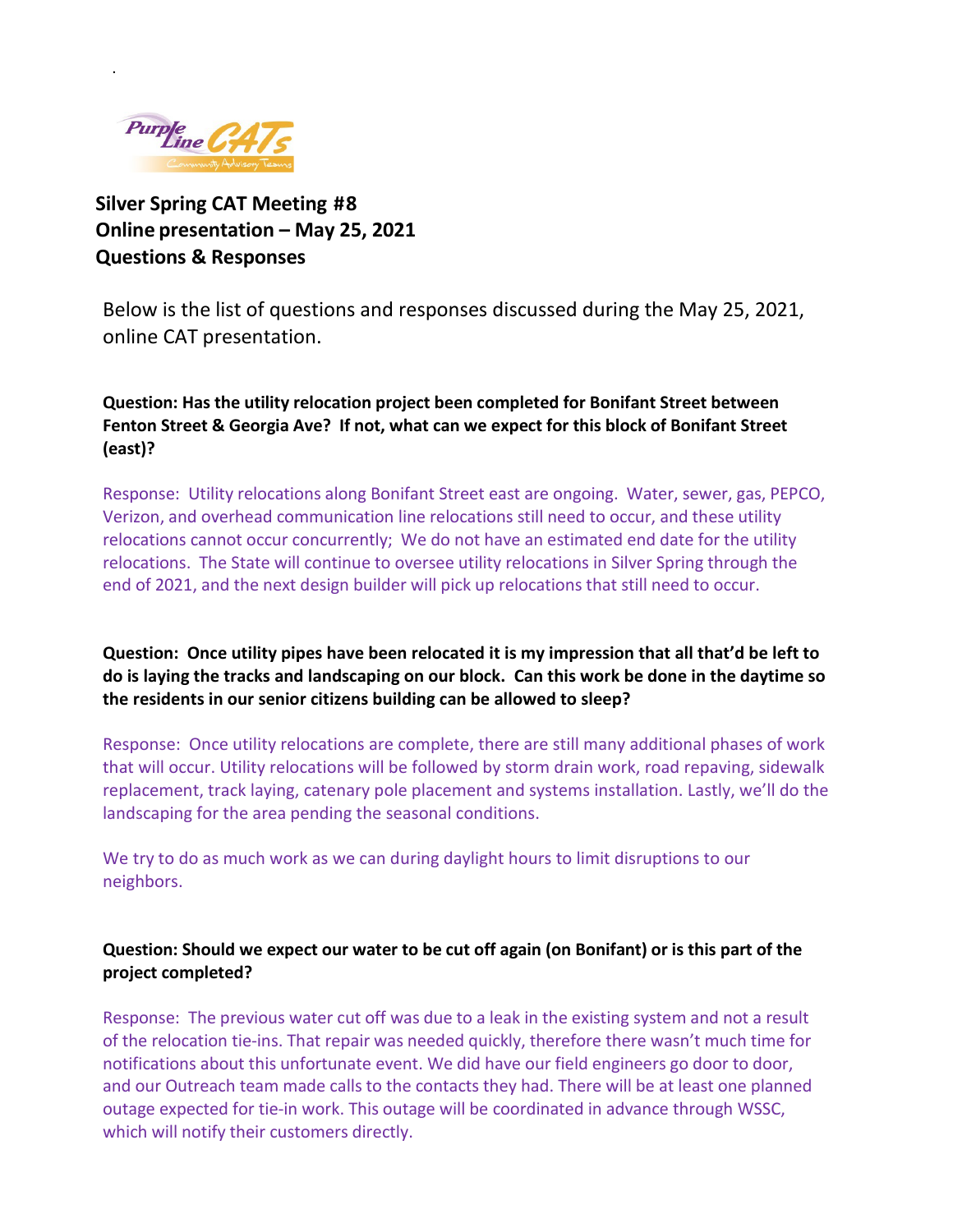

.

**Silver Spring CAT Meeting #8 Online presentation – May 25, 2021 Questions & Responses** 

Below is the list of questions and responses discussed during the May 25, 2021, online CAT presentation.

**Question: Has the utility relocation project been completed for Bonifant Street between Fenton Street & Georgia Ave? If not, what can we expect for this block of Bonifant Street (east)?** 

Response: Utility relocations along Bonifant Street east are ongoing. Water, sewer, gas, PEPCO, Verizon, and overhead communication line relocations still need to occur, and these utility relocations cannot occur concurrently; We do not have an estimated end date for the utility relocations. The State will continue to oversee utility relocations in Silver Spring through the end of 2021, and the next design builder will pick up relocations that still need to occur.

**Question: Once utility pipes have been relocated it is my impression that all that'd be left to do is laying the tracks and landscaping on our block. Can this work be done in the daytime so the residents in our senior citizens building can be allowed to sleep?**

Response:Once utility relocations are complete, there are still many additional phases of work that will occur. Utility relocations will be followed by storm drain work, road repaving, sidewalk replacement, track laying, catenary pole placement and systems installation. Lastly, we'll do the landscaping for the area pending the seasonal conditions.

We try to do as much work as we can during daylight hours to limit disruptions to our neighbors.

# **Question: Should we expect our water to be cut off again (on Bonifant) or is this part of the project completed?**

Response: The previous water cut off was due to a leak in the existing system and not a result of the relocation tie-ins. That repair was needed quickly, therefore there wasn't much time for notifications about this unfortunate event. We did have our field engineers go door to door, and our Outreach team made calls to the contacts they had. There will be at least one planned outage expected for tie-in work. This outage will be coordinated in advance through WSSC, which will notify their customers directly.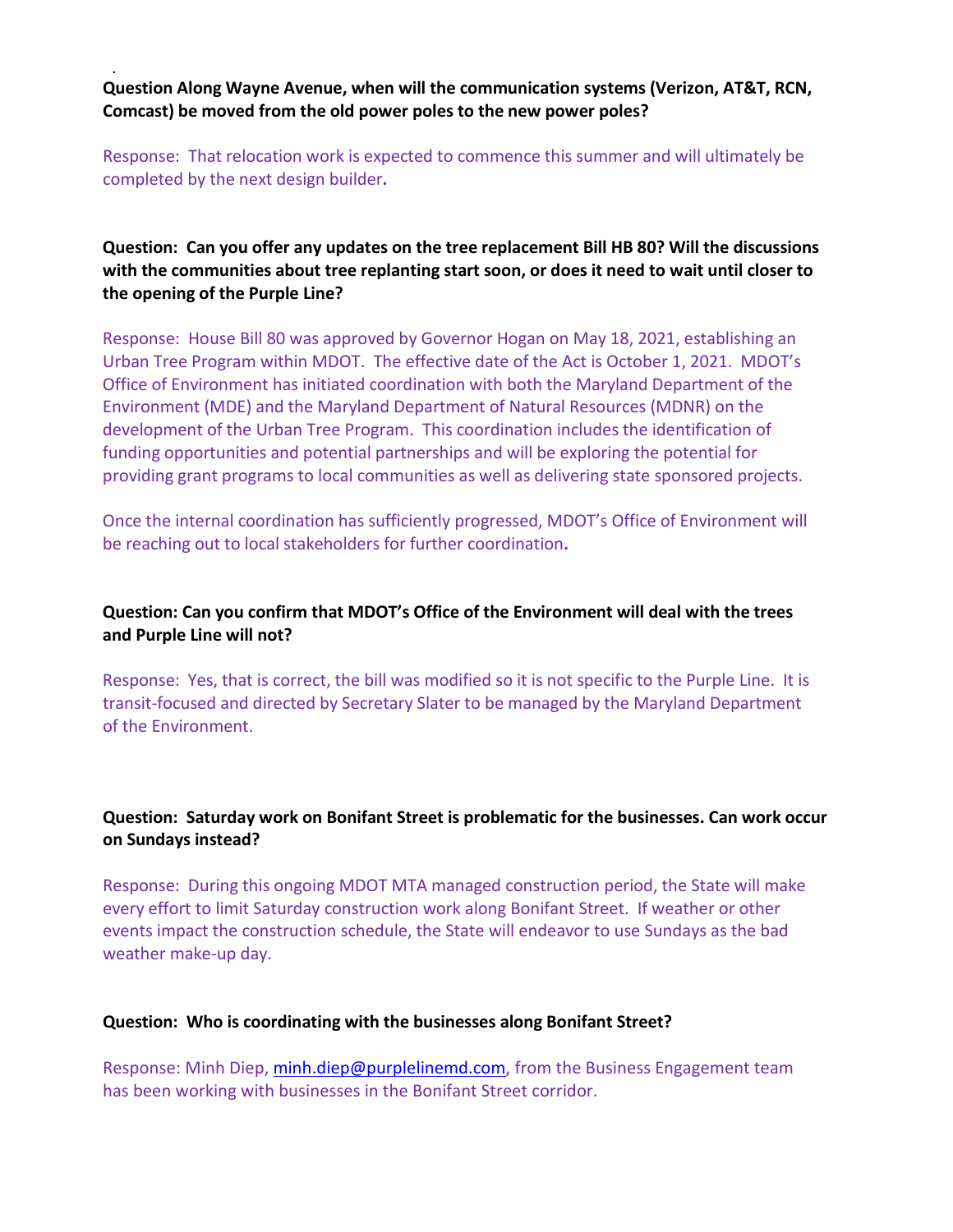**Question Along Wayne Avenue, when will the communication systems (Verizon, AT&T, RCN, Comcast) be moved from the old power poles to the new power poles?** 

.

Response: That relocation work is expected to commence this summer and will ultimately be completed by the next design builder**.**

## **Question: Can you offer any updates on the tree replacement Bill HB 80? Will the discussions with the communities about tree replanting start soon, or does it need to wait until closer to the opening of the Purple Line?**

Response: House Bill 80 was approved by Governor Hogan on May 18, 2021, establishing an Urban Tree Program within MDOT. The effective date of the Act is October 1, 2021. MDOT's Office of Environment has initiated coordination with both the Maryland Department of the Environment (MDE) and the Maryland Department of Natural Resources (MDNR) on the development of the Urban Tree Program. This coordination includes the identification of funding opportunities and potential partnerships and will be exploring the potential for providing grant programs to local communities as well as delivering state sponsored projects.

Once the internal coordination has sufficiently progressed, MDOT's Office of Environment will be reaching out to local stakeholders for further coordination**.**

### **Question: Can you confirm that MDOT's Office of the Environment will deal with the trees and Purple Line will not?**

Response: Yes, that is correct, the bill was modified so it is not specific to the Purple Line. It is transit-focused and directed by Secretary Slater to be managed by the Maryland Department of the Environment.

## **Question: Saturday work on Bonifant Street is problematic for the businesses. Can work occur on Sundays instead?**

Response: During this ongoing MDOT MTA managed construction period, the State will make every effort to limit Saturday construction work along Bonifant Street. If weather or other events impact the construction schedule, the State will endeavor to use Sundays as the bad weather make-up day.

#### **Question: Who is coordinating with the businesses along Bonifant Street?**

Response: Minh Diep, [minh.diep@purplelinemd.com,](mailto:minh.diep@purplelinemd.com) from the Business Engagement team has been working with businesses in the Bonifant Street corridor.